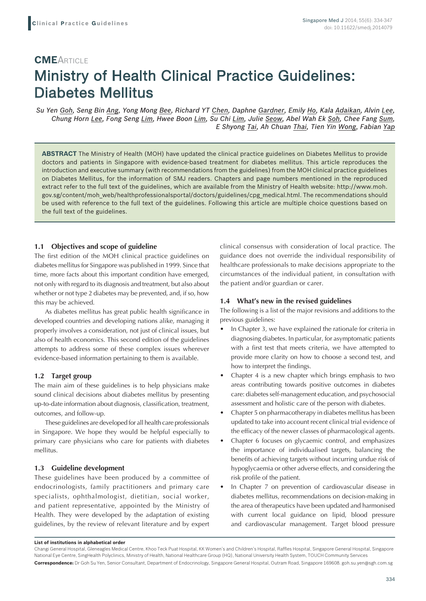# **CME**ARTICLE Ministry of Health Clinical Practice Guidelines: Diabetes Mellitus

*Su Yen Goh, Seng Bin Ang, Yong Mong Bee, Richard YT Chen, Daphne Gardner, Emily Ho, Kala Adaikan, Alvin Lee, Chung Horn Lee, Fong Seng Lim, Hwee Boon Lim, Su Chi Lim, Julie Seow, Abel Wah Ek Soh, Chee Fang Sum, E Shyong Tai, Ah Chuan Thai, Tien Yin Wong, Fabian Yap*

**ABSTRACT** The Ministry of Health (MOH) have updated the clinical practice guidelines on Diabetes Mellitus to provide doctors and patients in Singapore with evidence-based treatment for diabetes mellitus. This article reproduces the introduction and executive summary (with recommendations from the guidelines) from the MOH clinical practice guidelines on Diabetes Mellitus, for the information of SMJ readers. Chapters and page numbers mentioned in the reproduced extract refer to the full text of the guidelines, which are available from the Ministry of Health website: http://www.moh. gov.sg/content/moh\_web/healthprofessionalsportal/doctors/guidelines/cpg\_medical.html. The recommendations should be used with reference to the full text of the guidelines. Following this article are multiple choice questions based on the full text of the guidelines.

## **1.1 Objectives and scope of guideline**

The first edition of the MOH clinical practice guidelines on diabetes mellitus for Singapore was published in 1999. Since that time, more facts about this important condition have emerged, not only with regard to its diagnosis and treatment, but also about whether or not type 2 diabetes may be prevented, and, if so, how this may be achieved.

As diabetes mellitus has great public health significance in developed countries and developing nations alike, managing it properly involves a consideration, not just of clinical issues, but also of health economics. This second edition of the guidelines attempts to address some of these complex issues wherever evidence-based information pertaining to them is available.

## **1.2 Target group**

The main aim of these guidelines is to help physicians make sound clinical decisions about diabetes mellitus by presenting up-to-date information about diagnosis, classification, treatment, outcomes, and follow-up.

These guidelines are developed for all health care professionals in Singapore. We hope they would be helpful especially to primary care physicians who care for patients with diabetes mellitus.

#### **1.3 Guideline development**

These guidelines have been produced by a committee of endocrinologists, family practitioners and primary care specialists, ophthalmologist, dietitian, social worker, and patient representative, appointed by the Ministry of Health. They were developed by the adaptation of existing guidelines, by the review of relevant literature and by expert

clinical consensus with consideration of local practice. The guidance does not override the individual responsibility of healthcare professionals to make decisions appropriate to the circumstances of the individual patient, in consultation with the patient and/or guardian or carer.

#### **1.4 What's new in the revised guidelines**

The following is a list of the major revisions and additions to the previous guidelines:

- In Chapter 3, we have explained the rationale for criteria in diagnosing diabetes. In particular, for asymptomatic patients with a first test that meets criteria, we have attempted to provide more clarity on how to choose a second test, and how to interpret the findings.
- Chapter 4 is a new chapter which brings emphasis to two areas contributing towards positive outcomes in diabetes care: diabetes self-management education, and psychosocial assessment and holistic care of the person with diabetes.
- Chapter 5 on pharmacotherapy in diabetes mellitus has been updated to take into account recent clinical trial evidence of the efficacy of the newer classes of pharmacological agents.
- Chapter 6 focuses on glycaemic control, and emphasizes the importance of individualised targets, balancing the benefits of achieving targets without incurring undue risk of hypoglycaemia or other adverse effects, and considering the risk profile of the patient.
- In Chapter 7 on prevention of cardiovascular disease in diabetes mellitus, recommendations on decision-making in the area of therapeutics have been updated and harmonised with current local guidance on lipid, blood pressure and cardiovascular management. Target blood pressure

**List of institutions in alphabetical order**

Changi General Hospital, Gleneagles Medical Centre, Khoo Teck Puat Hospital, KK Women's and Children's Hospital, Raffles Hospital, Singapore General Hospital, Singapore National Eye Centre, SingHealth Polyclinics, Ministry of Health, National Healthcare Group (HQ), National University Health System, TOUCH Community Services **Correspondence:** Dr Goh Su Yen, Senior Consultant, Department of Endocrinology, Singapore General Hospital, Outram Road, Singapore 169608. goh.su.yen@sgh.com.sg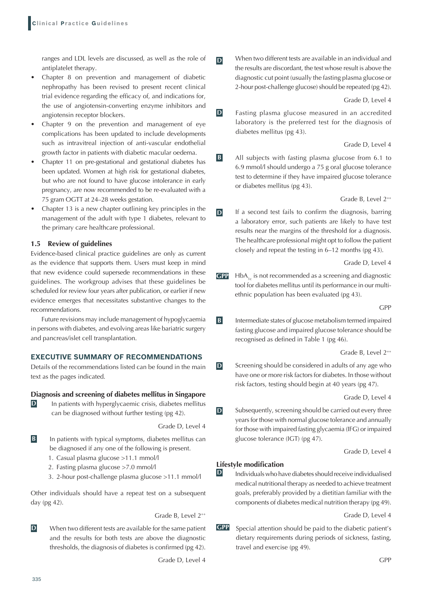ranges and LDL levels are discussed, as well as the role of antiplatelet therapy.

- Chapter 8 on prevention and management of diabetic nephropathy has been revised to present recent clinical trial evidence regarding the efficacy of, and indications for, the use of angiotensin-converting enzyme inhibitors and angiotensin receptor blockers.
- Chapter 9 on the prevention and management of eye complications has been updated to include developments such as intravitreal injection of anti-vascular endothelial growth factor in patients with diabetic macular oedema.
- Chapter 11 on pre-gestational and gestational diabetes has been updated. Women at high risk for gestational diabetes, but who are not found to have glucose intolerance in early pregnancy, are now recommended to be re-evaluated with a 75 gram OGTT at 24–28 weeks gestation.
- Chapter 13 is a new chapter outlining key principles in the management of the adult with type 1 diabetes, relevant to the primary care healthcare professional.

## **1.5 Review of guidelines**

Evidence-based clinical practice guidelines are only as current as the evidence that supports them. Users must keep in mind that new evidence could supersede recommendations in these guidelines. The workgroup advises that these guidelines be scheduled for review four years after publication, or earlier if new evidence emerges that necessitates substantive changes to the recommendations.

Future revisions may include management of hypoglycaemia in persons with diabetes, and evolving areas like bariatric surgery and pancreas/islet cell transplantation.

## **EXECUTIVE SUMMARY OF RECOMMENDATIONS**

Details of the recommendations listed can be found in the main text as the pages indicated.

#### **Diagnosis and screening of diabetes mellitus in Singapore**

**D** In patients with hyperglycaemic crisis, diabetes mellitus can be diagnosed without further testing (pg 42).

Grade D, Level 4

- **B** In patients with typical symptoms, diabetes mellitus can be diagnosed if any one of the following is present.
	- 1. Casual plasma glucose >11.1 mmol/l
	- 2. Fasting plasma glucose >7.0 mmol/l
	- 3. 2-hour post-challenge plasma glucose >11.1 mmol/l

Other individuals should have a repeat test on a subsequent day (pg 42).

Grade B, Level 2<sup>++</sup>

**D** When two different tests are available for the same patient and the results for both tests are above the diagnostic thresholds, the diagnosis of diabetes is confirmed (pg 42).

Grade D, Level 4

**D** When two different tests are available in an individual and the results are discordant, the test whose result is above the diagnostic cut point (usually the fasting plasma glucose or 2-hour post-challenge glucose) should be repeated (pg 42).

Grade D, Level 4

**D Fasting plasma glucose measured in an accredited** laboratory is the preferred test for the diagnosis of diabetes mellitus (pg 43).

Grade D, Level 4

**B** All subjects with fasting plasma glucose from 6.1 to 6.9 mmol/l should undergo a 75 g oral glucose tolerance test to determine if they have impaired glucose tolerance or diabetes mellitus (pg 43).

Grade B, Level  $2^{++}$ 

**D** If a second test fails to confirm the diagnosis, barring a laboratory error, such patients are likely to have test results near the margins of the threshold for a diagnosis. The healthcare professional might opt to follow the patient closely and repeat the testing in 6–12 months (pg 43).

Grade D, Level 4

**GPP HbA<sub>1c</sub>** is not recommended as a screening and diagnostic tool for diabetes mellitus until its performance in our multiethnic population has been evaluated (pg 43).

GPP

**B** Intermediate states of glucose metabolism termed impaired fasting glucose and impaired glucose tolerance should be recognised as defined in Table 1 (pg 46).

Grade B, Level 2<sup>++</sup>

**D** Screening should be considered in adults of any age who have one or more risk factors for diabetes. In those without risk factors, testing should begin at 40 years (pg 47).

Grade D, Level 4

**D** Subsequently, screening should be carried out every three years for those with normal glucose tolerance and annually for those with impaired fasting glycaemia (IFG) or impaired glucose tolerance (IGT) (pg 47).

Grade D, Level 4

## **Lifestyle modification**

**D** Individuals who have diabetes should receive individualised medical nutritional therapy as needed to achieve treatment goals, preferably provided by a dietitian familiar with the components of diabetes medical nutrition therapy (pg 49).

Grade D, Level 4

**GPP** Special attention should be paid to the diabetic patient's dietary requirements during periods of sickness, fasting, travel and exercise (pg 49).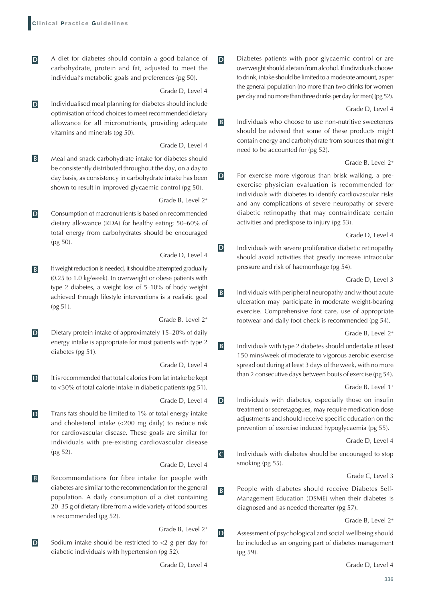- **D A** diet for diabetes should contain a good balance of carbohydrate, protein and fat, adjusted to meet the individual's metabolic goals and preferences (pg 50).
	- Grade D, Level 4
- **D** Individualised meal planning for diabetes should include optimisation of food choices to meet recommended dietary allowance for all micronutrients, providing adequate vitamins and minerals (pg 50).

Grade D, Level 4

**B** Meal and snack carbohydrate intake for diabetes should be consistently distributed throughout the day, on a day to day basis, as consistency in carbohydrate intake has been shown to result in improved glycaemic control (pg 50).

Grade B, Level 2<sup>+</sup>

**D** Consumption of macronutrients is based on recommended dietary allowance (RDA) for healthy eating; 50–60% of total energy from carbohydrates should be encouraged (pg 50).

Grade D, Level 4

**B** If weight reduction is needed, it should be attempted gradually (0.25 to 1.0 kg/week). In overweight or obese patients with type 2 diabetes, a weight loss of 5–10% of body weight achieved through lifestyle interventions is a realistic goal (pg 51).

Grade B, Level 2<sup>+</sup>

**D** Dietary protein intake of approximately 15–20% of daily energy intake is appropriate for most patients with type 2 diabetes (pg 51).

Grade D, Level 4

**D** It is recommended that total calories from fat intake be kept to <30% of total calorie intake in diabetic patients (pg 51).

Grade D, Level 4

**D** Trans fats should be limited to 1% of total energy intake and cholesterol intake (<200 mg daily) to reduce risk for cardiovascular disease. These goals are similar for individuals with pre-existing cardiovascular disease (pg 52).

Grade D, Level 4

**B Recommendations for fibre intake for people with** diabetes are similar to the recommendation for the general population. A daily consumption of a diet containing 20–35 g of dietary fibre from a wide variety of food sources is recommended (pg 52).

Grade B, Level 2<sup>+</sup>

**D** Sodium intake should be restricted to <2 g per day for diabetic individuals with hypertension (pg 52).

Grade D, Level 4

**D** Diabetes patients with poor glycaemic control or are overweight should abstain from alcohol. If individuals choose to drink, intake should be limited to a moderate amount, as per the general population (no more than two drinks for women per day and no more than three drinks per day for men) (pg 52).

Grade D, Level 4

**B** Individuals who choose to use non-nutritive sweeteners should be advised that some of these products might contain energy and carbohydrate from sources that might need to be accounted for (pg 52).

Grade B, Level 2<sup>+</sup>

**D** For exercise more vigorous than brisk walking, a preexercise physician evaluation is recommended for individuals with diabetes to identify cardiovascular risks and any complications of severe neuropathy or severe diabetic retinopathy that may contraindicate certain activities and predispose to injury (pg 53).

Grade D, Level 4

**D** Individuals with severe proliferative diabetic retinopathy should avoid activities that greatly increase intraocular pressure and risk of haemorrhage (pg 54).

Grade D, Level 3

**B** Individuals with peripheral neuropathy and without acute ulceration may participate in moderate weight-bearing exercise. Comprehensive foot care, use of appropriate footwear and daily foot check is recommended (pg 54).

Grade B, Level 2<sup>+</sup>

**B** Individuals with type 2 diabetes should undertake at least 150 mins/week of moderate to vigorous aerobic exercise spread out during at least 3 days of the week, with no more than 2 consecutive days between bouts of exercise (pg 54).

Grade B, Level 1<sup>+</sup>

**D** Individuals with diabetes, especially those on insulin treatment or secretagogues, may require medication dose adjustments and should receive specific education on the prevention of exercise induced hypoglycaemia (pg 55).

Grade D, Level 4

**C** Individuals with diabetes should be encouraged to stop smoking (pg 55).

Grade C, Level 3

**B People with diabetes should receive Diabetes Self-**Management Education (DSME) when their diabetes is diagnosed and as needed thereafter (pg 57).

Grade B, Level 2<sup>+</sup>

**D** Assessment of psychological and social wellbeing should be included as an ongoing part of diabetes management (pg 59).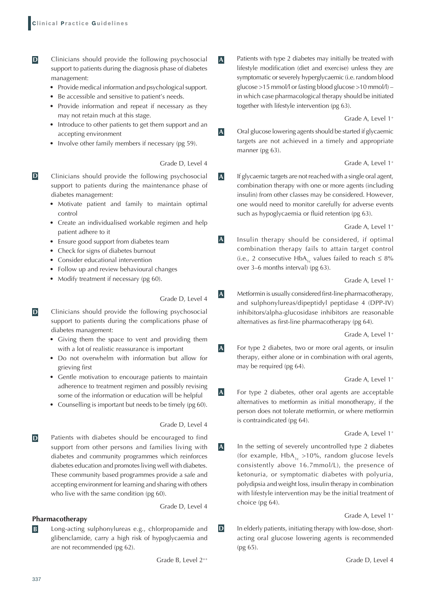- **D Clinicians should provide the following psychosocial** support to patients during the diagnosis phase of diabetes management:
	- Provide medical information and psychological support.
	- Be accessible and sensitive to patient's needs.
	- • Provide information and repeat if necessary as they may not retain much at this stage.
	- • Introduce to other patients to get them support and an accepting environment
	- Involve other family members if necessary (pg 59).

Grade D, Level 4

- **D Clinicians should provide the following psychosocial** support to patients during the maintenance phase of diabetes management:
	- • Motivate patient and family to maintain optimal control
	- • Create an individualised workable regimen and help patient adhere to it
	- Ensure good support from diabetes team
	- Check for signs of diabetes burnout
	- Consider educational intervention
	- Follow up and review behavioural changes
	- Modify treatment if necessary (pg 60).

Grade D, Level 4

- **D Clinicians should provide the following psychosocial** support to patients during the complications phase of diabetes management:
	- • Giving them the space to vent and providing them with a lot of realistic reassurance is important
	- • Do not overwhelm with information but allow for grieving first
	- • Gentle motivation to encourage patients to maintain adherence to treatment regimen and possibly revising some of the information or education will be helpful
	- Counselling is important but needs to be timely (pg 60).

#### Grade D, Level 4

**D** Patients with diabetes should be encouraged to find support from other persons and families living with diabetes and community programmes which reinforces diabetes education and promotes living well with diabetes. These community based programmes provide a safe and accepting environment for learning and sharing with others who live with the same condition (pg 60).

Grade D, Level 4

- **Pharmacotherapy**
- **B** Long-acting sulphonylureas e.g., chlorpropamide and glibenclamide, carry a high risk of hypoglycaemia and are not recommended (pg 62).

Grade B, Level 2<sup>++</sup>

**A** Patients with type 2 diabetes may initially be treated with lifestyle modification (diet and exercise) unless they are symptomatic or severely hyperglycaemic (i.e. random blood glucose >15 mmol/l or fasting blood glucose >10 mmol/l) – in which case pharmacological therapy should be initiated together with lifestyle intervention (pg 63).

Grade A, Level 1<sup>+</sup>

**A** Oral glucose lowering agents should be started if glycaemic targets are not achieved in a timely and appropriate manner (pg 63).

Grade A, Level 1<sup>+</sup>

**A** If glycaemic targets are not reached with a single oral agent, combination therapy with one or more agents (including insulin) from other classes may be considered. However, one would need to monitor carefully for adverse events such as hypoglycaemia or fluid retention (pg 63).

Grade A, Level 1<sup>+</sup>

**A** Insulin therapy should be considered, if optimal combination therapy fails to attain target control (i.e., 2 consecutive HbA<sub>1c</sub> values failed to reach  $\leq 8\%$ over 3–6 months interval) (pg 63).

Grade A, Level 1<sup>+</sup>

**A** Metformin is usually considered first-line pharmacotherapy, and sulphonylureas/dipeptidyl peptidase 4 (DPP-IV) inhibitors/alpha-glucosidase inhibitors are reasonable alternatives as first-line pharmacotherapy (pg 64).

Grade A, Level 1<sup>+</sup>

**A** For type 2 diabetes, two or more oral agents, or insulin therapy, either alone or in combination with oral agents, may be required (pg 64).

Grade A, Level 1<sup>+</sup>

**A** For type 2 diabetes, other oral agents are acceptable alternatives to metformin as initial monotherapy, if the person does not tolerate metformin, or where metformin is contraindicated (pg 64).

Grade A, Level 1<sup>+</sup>

**A** In the setting of severely uncontrolled type 2 diabetes (for example,  $HbA_{1c} > 10\%$ , random glucose levels consistently above 16.7mmol/L), the presence of ketonuria, or symptomatic diabetes with polyuria, polydipsia and weight loss, insulin therapy in combination with lifestyle intervention may be the initial treatment of choice (pg 64).

Grade A, Level 1<sup>+</sup>

**D** In elderly patients, initiating therapy with low-dose, shortacting oral glucose lowering agents is recommended (pg 65).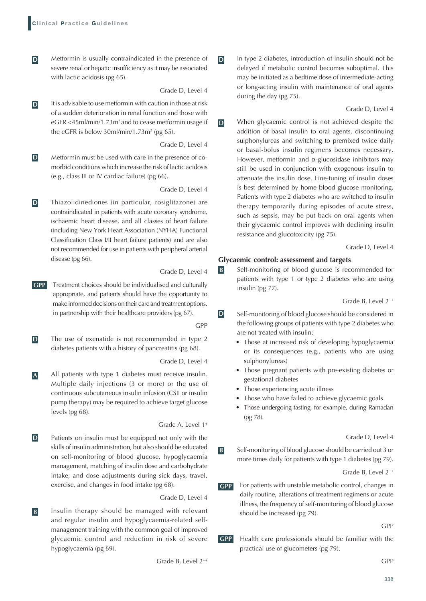**D** Metformin is usually contraindicated in the presence of severe renal or hepatic insufficiency as it may be associated with lactic acidosis (pg 65).

Grade D, Level 4

**D** It is advisable to use metformin with caution in those at risk of a sudden deterioration in renal function and those with eGFR <45ml/min/1.73m<sup>2</sup> and to cease metformin usage if the eGFR is below 30ml/min/1.73m² (pg 65).

Grade D, Level 4

**D** Metformin must be used with care in the presence of comorbid conditions which increase the risk of lactic acidosis (e.g., class III or IV cardiac failure) (pg 66).

Grade D, Level 4

**D** Thiazolidinediones (in particular, rosiglitazone) are contraindicated in patients with acute coronary syndrome, ischaemic heart disease, and all classes of heart failure (including New York Heart Association (NYHA) Functional Classification Class I/II heart failure patients) and are also not recommended for use in patients with peripheral arterial disease (pg 66).

Grade D, Level 4

**GPP** Treatment choices should be individualised and culturally appropriate, and patients should have the opportunity to make informed decisions on their care and treatment options, in partnership with their healthcare providers (pg 67).

GPP

**D** The use of exenatide is not recommended in type 2 diabetes patients with a history of pancreatitis (pg 68).

Grade D, Level 4

**A** All patients with type 1 diabetes must receive insulin. Multiple daily injections (3 or more) or the use of continuous subcutaneous insulin infusion (CSII or insulin pump therapy) may be required to achieve target glucose levels (pg 68).

Grade A, Level 1<sup>+</sup>

**D** Patients on insulin must be equipped not only with the skills of insulin administration, but also should be educated on self-monitoring of blood glucose, hypoglycaemia management, matching of insulin dose and carbohydrate intake, and dose adjustments during sick days, travel, exercise, and changes in food intake (pg 68).

Grade D, Level 4

**B** Insulin therapy should be managed with relevant and regular insulin and hypoglycaemia-related selfmanagement training with the common goal of improved glycaemic control and reduction in risk of severe hypoglycaemia (pg 69).

**D** In type 2 diabetes, introduction of insulin should not be delayed if metabolic control becomes suboptimal. This may be initiated as a bedtime dose of intermediate-acting or long-acting insulin with maintenance of oral agents during the day (pg 75).

#### Grade D, Level 4

**D** When glycaemic control is not achieved despite the addition of basal insulin to oral agents, discontinuing sulphonylureas and switching to premixed twice daily or basal-bolus insulin regimens becomes necessary. However, metformin and  $\alpha$ -glucosidase inhibitors may still be used in conjunction with exogenous insulin to attenuate the insulin dose. Fine-tuning of insulin doses is best determined by home blood glucose monitoring. Patients with type 2 diabetes who are switched to insulin therapy temporarily during episodes of acute stress, such as sepsis, may be put back on oral agents when their glycaemic control improves with declining insulin resistance and glucotoxicity (pg 75).

Grade D, Level 4

#### **Glycaemic control: assessment and targets**

**B** Self-monitoring of blood glucose is recommended for patients with type 1 or type 2 diabetes who are using insulin (pg 77).

Grade B, Level 2<sup>++</sup>

- **D** Self-monitoring of blood glucose should be considered in the following groups of patients with type 2 diabetes who are not treated with insulin:
	- • Those at increased risk of developing hypoglycaemia or its consequences (e.g., patients who are using sulphonylureas)
	- • Those pregnant patients with pre-existing diabetes or gestational diabetes
	- Those experiencing acute illness
	- Those who have failed to achieve glycaemic goals
	- • Those undergoing fasting, for example, during Ramadan (pg 78).

Grade D, Level 4

**B** Self-monitoring of blood glucose should be carried out 3 or more times daily for patients with type 1 diabetes (pg 79).

Grade B, Level 2++

**GPP** For patients with unstable metabolic control, changes in daily routine, alterations of treatment regimens or acute illness, the frequency of self-monitoring of blood glucose should be increased (pg 79).

#### GPP

**GPP** Health care professionals should be familiar with the practical use of glucometers (pg 79).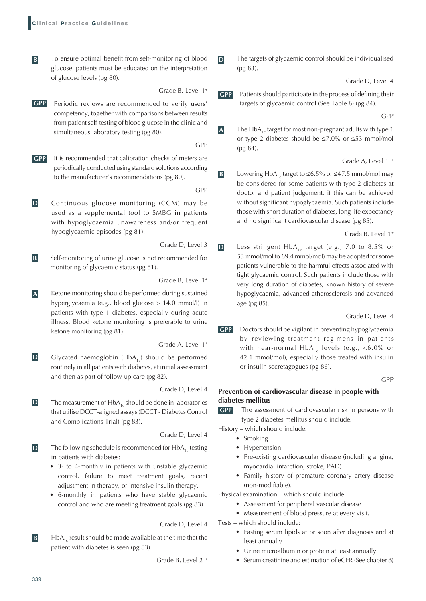- To ensure optimal benefit from self-monitoring of blood glucose, patients must be educated on the interpretation of glucose levels (pg 80).
	- Grade B, Level 1<sup>+</sup>
- **GPP** Periodic reviews are recommended to verify users' competency, together with comparisons between results from patient self-testing of blood glucose in the clinic and simultaneous laboratory testing (pg 80).

GPP

- **GPP** It is recommended that calibration checks of meters are periodically conducted using standard solutions according to the manufacturer's recommendations (pg 80).
	- GPP
- **D Continuous glucose monitoring (CGM) may be** used as a supplemental tool to SMBG in patients with hypoglycaemia unawareness and/or frequent hypoglycaemic episodes (pg 81).

Grade D, Level 3

**B** Self-monitoring of urine glucose is not recommended for monitoring of glycaemic status (pg 81).

Grade B, Level 1<sup>+</sup>

**A** Ketone monitoring should be performed during sustained hyperglycaemia (e.g., blood glucose > 14.0 mmol/l) in patients with type 1 diabetes, especially during acute illness. Blood ketone monitoring is preferable to urine ketone monitoring (pg 81).

Grade A, Level 1<sup>+</sup>

**D** Glycated haemoglobin  $(HbA_{1c})$  should be performed routinely in all patients with diabetes, at initial assessment and then as part of follow-up care (pg 82).

Grade D, Level 4

**D** The measurement of  $HbA_{1c}$  should be done in laboratories that utilise DCCT-aligned assays (DCCT - Diabetes Control and Complications Trial) (pg 83).

Grade D, Level 4

- **D** The following schedule is recommended for HbA<sub>1c</sub> testing in patients with diabetes:
	- • 3- to 4-monthly in patients with unstable glycaemic control, failure to meet treatment goals, recent adjustment in therapy, or intensive insulin therapy.
	- 6-monthly in patients who have stable glycaemic control and who are meeting treatment goals (pg 83).

Grade D, Level 4

**B**  $\mathbf{B}$   **HbA<sub>1c</sub>** result should be made available at the time that the patient with diabetes is seen (pg 83).

Grade B, Level 2++

**D** The targets of glycaemic control should be individualised (pg 83).

Grade D, Level 4

**GPP** Patients should participate in the process of defining their targets of glycaemic control (See Table 6) (pg 84).

GPP

**A** The HbA<sub>1c</sub> target for most non-pregnant adults with type 1 or type 2 diabetes should be ≤7.0% or ≤53 mmol/mol (pg 84).

Grade A, Level 1<sup>++</sup>

**B** Lowering HbA<sub>1c</sub> target to ≤6.5% or ≤47.5 mmol/mol may be considered for some patients with type 2 diabetes at doctor and patient judgement, if this can be achieved without significant hypoglycaemia. Such patients include those with short duration of diabetes, long life expectancy and no significant cardiovascular disease (pg 85).

Grade B, Level 1<sup>+</sup>

**D** Less stringent HbA<sub>1c</sub> target (e.g., 7.0 to 8.5% or 53 mmol/mol to 69.4 mmol/mol) may be adopted for some patients vulnerable to the harmful effects associated with tight glycaemic control. Such patients include those with very long duration of diabetes, known history of severe hypoglycaemia, advanced atherosclerosis and advanced age (pg 85).

Grade D, Level 4

**GPP** Doctors should be vigilant in preventing hypoglycaemia by reviewing treatment regimens in patients with near-normal  $HbA_{1c}$  levels (e.g., <6.0% or 42.1 mmol/mol), especially those treated with insulin or insulin secretagogues (pg 86).

GPP

#### **Prevention of cardiovascular disease in people with diabetes mellitus**

**GPP** The assessment of cardiovascular risk in persons with type 2 diabetes mellitus should include:

History – which should include:

- Smoking
- Hypertension
- • Pre-existing cardiovascular disease (including angina, myocardial infarction, stroke, PAD)
- • Family history of premature coronary artery disease (non-modifiable).

Physical examination – which should include:

- Assessment for peripheral vascular disease
- Measurement of blood pressure at every visit.
- Tests which should include:
	- • Fasting serum lipids at or soon after diagnosis and at least annually
	- Urine microalbumin or protein at least annually
	- Serum creatinine and estimation of eGFR (See chapter 8)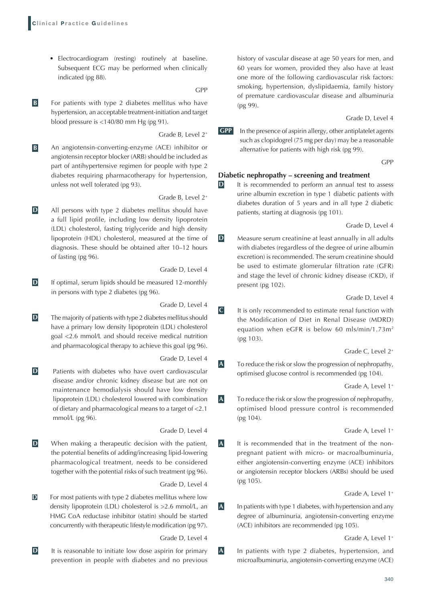• Electrocardiogram (resting) routinely at baseline. Subsequent ECG may be performed when clinically indicated (pg 88).

GPP

**B B** For patients with type 2 diabetes mellitus who have hypertension, an acceptable treatment-initiation and target blood pressure is <140/80 mm Hg (pg 91).

Grade B, Level 2<sup>+</sup>

**B** An angiotensin-converting-enzyme (ACE) inhibitor or angiotensin receptor blocker (ARB) should be included as part of antihypertensive regimen for people with type 2 diabetes requiring pharmacotherapy for hypertension, unless not well tolerated (pg 93).

Grade B, Level 2<sup>+</sup>

**D** All persons with type 2 diabetes mellitus should have a full lipid profile, including low density lipoprotein (LDL) cholesterol, fasting triglyceride and high density lipoprotein (HDL) cholesterol, measured at the time of diagnosis. These should be obtained after 10–12 hours of fasting (pg 96).

Grade D, Level 4

**D** If optimal, serum lipids should be measured 12-monthly in persons with type 2 diabetes (pg 96).

Grade D, Level 4

**D** The majority of patients with type 2 diabetes mellitus should have a primary low density lipoprotein (LDL) cholesterol goal <2.6 mmol/L and should receive medical nutrition and pharmacological therapy to achieve this goal (pg 96).

Grade D, Level 4

**D** Patients with diabetes who have overt cardiovascular disease and/or chronic kidney disease but are not on maintenance hemodialysis should have low density lipoprotein (LDL) cholesterol lowered with combination of dietary and pharmacological means to a target of <2.1 mmol/L (pg 96).

Grade D, Level 4

**D** When making a therapeutic decision with the patient, the potential benefits of adding/increasing lipid-lowering pharmacological treatment, needs to be considered together with the potential risks of such treatment (pg 96).

Grade D, Level 4

**D** For most patients with type 2 diabetes mellitus where low density lipoprotein (LDL) cholesterol is >2.6 mmol/L, an HMG CoA reductase inhibitor (statin) should be started concurrently with therapeutic lifestyle modification (pg 97).

Grade D, Level 4

**D** It is reasonable to initiate low dose aspirin for primary prevention in people with diabetes and no previous history of vascular disease at age 50 years for men, and 60 years for women, provided they also have at least one more of the following cardiovascular risk factors: smoking, hypertension, dyslipidaemia, family history of premature cardiovascular disease and albuminuria (pg 99).

Grade D, Level 4

**GPP** In the presence of aspirin allergy, other antiplatelet agents such as clopidogrel (75 mg per day) may be a reasonable alternative for patients with high risk (pg 99).

GPP

#### **Diabetic nephropathy – screening and treatment**

**D** It is recommended to perform an annual test to assess urine albumin excretion in type 1 diabetic patients with diabetes duration of 5 years and in all type 2 diabetic patients, starting at diagnosis (pg 101).

Grade D, Level 4

**D** Measure serum creatinine at least annually in all adults with diabetes (regardless of the degree of urine albumin excretion) is recommended. The serum creatinine should be used to estimate glomerular filtration rate (GFR) and stage the level of chronic kidney disease (CKD), if present (pg 102).

#### Grade D, Level 4

**C** It is only recommended to estimate renal function with the Modification of Diet in Renal Disease (MDRD) equation when eGFR is below 60 mls/min/1.73m<sup>2</sup> (pg 103).

Grade C, Level 2<sup>+</sup>

**A To reduce the risk or slow the progression of nephropathy,** optimised glucose control is recommended (pg 104).

Grade A, Level 1<sup>+</sup>

**A To reduce the risk or slow the progression of nephropathy,** optimised blood pressure control is recommended (pg 104).

Grade A, Level 1<sup>+</sup>

**A** It is recommended that in the treatment of the nonpregnant patient with micro- or macroalbuminuria, either angiotensin-converting enzyme (ACE) inhibitors or angiotensin receptor blockers (ARBs) should be used (pg 105).

#### Grade A, Level 1<sup>+</sup>

**A** In patients with type 1 diabetes, with hypertension and any degree of albuminuria, angiotensin-converting enzyme (ACE) inhibitors are recommended (pg 105).

Grade A, Level 1<sup>+</sup>

**A** In patients with type 2 diabetes, hypertension, and microalbuminuria, angiotensin-converting enzyme (ACE)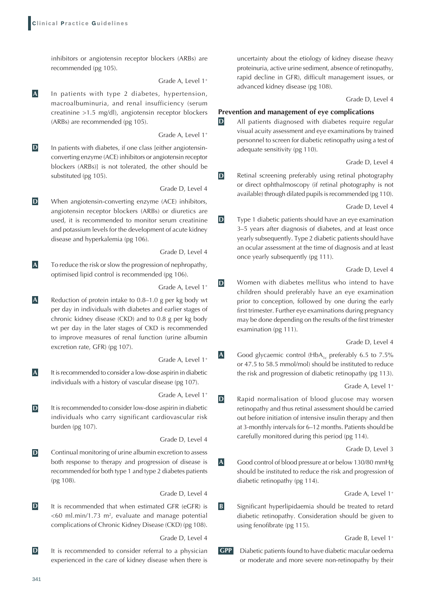inhibitors or angiotensin receptor blockers (ARBs) are recommended (pg 105).

Grade A, Level 1<sup>+</sup>

**A** In patients with type 2 diabetes, hypertension, macroalbuminuria, and renal insufficiency (serum creatinine >1.5 mg/dl), angiotensin receptor blockers (ARBs) are recommended (pg 105).

Grade A, Level 1<sup>+</sup>

**D** In patients with diabetes, if one class [either angiotensinconverting enzyme (ACE) inhibitors or angiotensin receptor blockers (ARBs)] is not tolerated, the other should be substituted (pg 105).

Grade D, Level 4

**D** When angiotensin-converting enzyme (ACE) inhibitors, angiotensin receptor blockers (ARBs) or diuretics are used, it is recommended to monitor serum creatinine and potassium levels for the development of acute kidney disease and hyperkalemia (pg 106).

Grade D, Level 4

**A To reduce the risk or slow the progression of nephropathy,** optimised lipid control is recommended (pg 106).

Grade A, Level 1<sup>+</sup>

**A** Reduction of protein intake to 0.8–1.0 g per kg body wt per day in individuals with diabetes and earlier stages of chronic kidney disease (CKD) and to 0.8 g per kg body wt per day in the later stages of CKD is recommended to improve measures of renal function (urine albumin excretion rate, GFR) (pg 107).

Grade A, Level 1<sup>+</sup>

**A** It is recommended to consider a low-dose aspirin in diabetic individuals with a history of vascular disease (pg 107).

Grade A, Level 1<sup>+</sup>

**D** It is recommended to consider low-dose aspirin in diabetic individuals who carry significant cardiovascular risk burden (pg 107).

Grade D, Level 4

**D** Continual monitoring of urine albumin excretion to assess both response to therapy and progression of disease is recommended for both type 1 and type 2 diabetes patients (pg 108).

Grade D, Level 4

**D** It is recommended that when estimated GFR (eGFR) is  $<$  60 ml.min/1.73 m<sup>2</sup>, evaluate and manage potential complications of Chronic Kidney Disease (CKD) (pg 108).

Grade D, Level 4

**D** It is recommended to consider referral to a physician experienced in the care of kidney disease when there is uncertainty about the etiology of kidney disease (heavy proteinuria, active urine sediment, absence of retinopathy, rapid decline in GFR), difficult management issues, or advanced kidney disease (pg 108).

Grade D, Level 4

#### **Prevention and management of eye complications**

**D** All patients diagnosed with diabetes require regular visual acuity assessment and eye examinations by trained personnel to screen for diabetic retinopathy using a test of adequate sensitivity (pg 110).

Grade D, Level 4

**D** Retinal screening preferably using retinal photography or direct ophthalmoscopy (if retinal photography is not available) through dilated pupils is recommended (pg 110).

Grade D, Level 4

**D** Type 1 diabetic patients should have an eye examination 3–5 years after diagnosis of diabetes, and at least once yearly subsequently. Type 2 diabetic patients should have an ocular assessment at the time of diagnosis and at least once yearly subsequently (pg 111).

Grade D, Level 4

**D** Women with diabetes mellitus who intend to have children should preferably have an eye examination prior to conception, followed by one during the early first trimester. Further eye examinations during pregnancy may be done depending on the results of the first trimester examination (pg 111).

Grade D, Level 4

**A** Good glycaemic control (HbA<sub>1c</sub> preferably 6.5 to 7.5% or 47.5 to 58.5 mmol/mol) should be instituted to reduce the risk and progression of diabetic retinopathy (pg 113).

Grade A, Level 1<sup>+</sup>

**D** Rapid normalisation of blood glucose may worsen retinopathy and thus retinal assessment should be carried out before initiation of intensive insulin therapy and then at 3-monthly intervals for 6–12 months. Patients should be carefully monitored during this period (pg 114).

Grade D, Level 3

**A** Good control of blood pressure at or below 130/80 mmHg should be instituted to reduce the risk and progression of diabetic retinopathy (pg 114).

Grade A, Level 1<sup>+</sup>

**B** Significant hyperlipidaemia should be treated to retard diabetic retinopathy. Consideration should be given to using fenofibrate (pg 115).

Grade B, Level 1<sup>+</sup>

**GPP** Diabetic patients found to have diabetic macular oedema or moderate and more severe non-retinopathy by their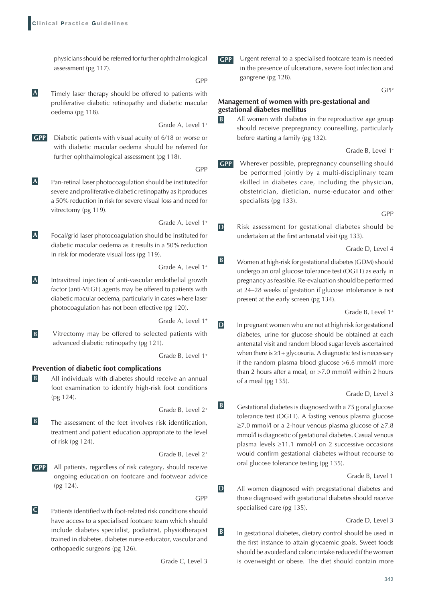physicians should be referred for further ophthalmological assessment (pg 117).

GPP

GPP

**A Timely laser therapy should be offered to patients with** proliferative diabetic retinopathy and diabetic macular oedema (pg 118).

Grade A, Level 1<sup>+</sup>

- **GPP** Diabetic patients with visual acuity of 6/18 or worse or with diabetic macular oedema should be referred for further ophthalmological assessment (pg 118).
- **A** Pan-retinal laser photocoagulation should be instituted for severe and proliferative diabetic retinopathy as it produces a 50% reduction in risk for severe visual loss and need for vitrectomy (pg 119).
- Grade A, Level 1<sup>+</sup> **A** Focal/grid laser photocoagulation should be instituted for diabetic macular oedema as it results in a 50% reduction in risk for moderate visual loss (pg 119).

Grade A, Level 1<sup>+</sup>

**A** Intravitreal injection of anti-vascular endothelial growth factor (anti-VEGF) agents may be offered to patients with diabetic macular oedema, particularly in cases where laser photocoagulation has not been effective (pg 120).

Grade A, Level 1<sup>+</sup>

**B** Vitrectomy may be offered to selected patients with advanced diabetic retinopathy (pg 121).

Grade B, Level 1<sup>+</sup>

## **Prevention of diabetic foot complications**

**B** All individuals with diabetes should receive an annual foot examination to identify high-risk foot conditions (pg 124).

Grade B, Level 2<sup>+</sup>

**B** The assessment of the feet involves risk identification, treatment and patient education appropriate to the level of risk (pg 124).

Grade B, Level 2<sup>+</sup>

**GPP** All patients, regardless of risk category, should receive ongoing education on footcare and footwear advice (pg 124).

GPP

**C** Patients identified with foot-related risk conditions should have access to a specialised footcare team which should include diabetes specialist, podiatrist, physiotherapist trained in diabetes, diabetes nurse educator, vascular and orthopaedic surgeons (pg 126).

Grade C, Level 3

**GPP** Urgent referral to a specialised footcare team is needed in the presence of ulcerations, severe foot infection and gangrene (pg 128).

GPP

#### **Management of women with pre-gestational and gestational diabetes mellitus**

**B** All women with diabetes in the reproductive age group should receive prepregnancy counselling, particularly before starting a family (pg 132).

Grade B, Level 1**-**

**GPP** Wherever possible, prepregnancy counselling should be performed jointly by a multi-disciplinary team skilled in diabetes care, including the physician, obstetrician, dietician, nurse-educator and other specialists (pg 133).

GPP

**D** Risk assessment for gestational diabetes should be undertaken at the first antenatal visit (pg 133).

Grade D, Level 4

**B** Women at high-risk for gestational diabetes (GDM) should undergo an oral glucose tolerance test (OGTT) as early in pregnancy as feasible. Re-evaluation should be performed at 24–28 weeks of gestation if glucose intolerance is not present at the early screen (pg 134).

Grade B, Level 1**<sup>+</sup>**

**D** In pregnant women who are not at high risk for gestational diabetes, urine for glucose should be obtained at each antenatal visit and random blood sugar levels ascertained when there is ≥1+ glycosuria. A diagnostic test is necessary if the random plasma blood glucose >6.6 mmol/l more than 2 hours after a meal, or >7.0 mmol/l within 2 hours of a meal (pg 135).

#### Grade D, Level 3

**B Gestational diabetes is diagnosed with a 75 g oral glucose** tolerance test (OGTT). A fasting venous plasma glucose ≥7.0 mmol/l or a 2-hour venous plasma glucose of ≥7.8 mmol/l is diagnostic of gestational diabetes. Casual venous plasma levels ≥11.1 mmol/l on 2 successive occasions would confirm gestational diabetes without recourse to oral glucose tolerance testing (pg 135).

Grade B, Level 1

**D** All women diagnosed with pregestational diabetes and those diagnosed with gestational diabetes should receive specialised care (pg 135).

Grade D, Level 3

**B** In gestational diabetes, dietary control should be used in the first instance to attain glycaemic goals. Sweet foods should be avoided and caloric intake reduced if the woman is overweight or obese. The diet should contain more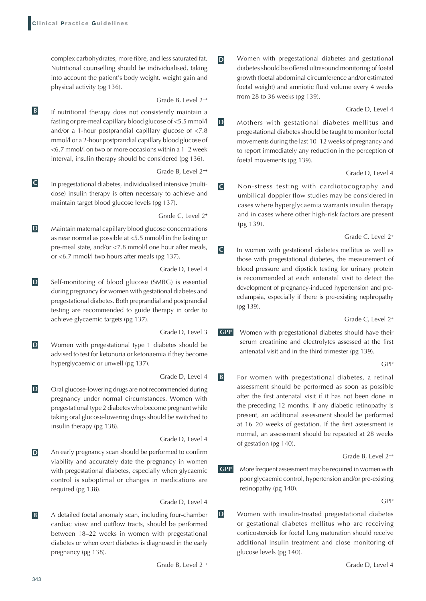complex carbohydrates, more fibre, and less saturated fat. Nutritional counselling should be individualised, taking into account the patient's body weight, weight gain and physical activity (pg 136).

#### Grade B, Level 2**++**

**B** If nutritional therapy does not consistently maintain a fasting or pre-meal capillary blood glucose of <5.5 mmol/l and/or a 1-hour postprandial capillary glucose of <7.8 mmol/l or a 2-hour postprandial capillary blood glucose of <6.7 mmol/l on two or more occasions within a 1–2 week interval, insulin therapy should be considered (pg 136).

Grade B, Level 2**++**

**C** In pregestational diabetes, individualised intensive (multidose) insulin therapy is often necessary to achieve and maintain target blood glucose levels (pg 137).

Grade C, Level 2**<sup>+</sup>**

**D** Maintain maternal capillary blood glucose concentrations as near normal as possible at <5.5 mmol/l in the fasting or pre-meal state, and/or <7.8 mmol/l one hour after meals, or <6.7 mmol/l two hours after meals (pg 137).

Grade D, Level 4

**D** Self-monitoring of blood glucose (SMBG) is essential during pregnancy for women with gestational diabetes and pregestational diabetes. Both preprandial and postprandial testing are recommended to guide therapy in order to achieve glycaemic targets (pg 137).

Grade D, Level 3

**D** Women with pregestational type 1 diabetes should be advised to test for ketonuria or ketonaemia if they become hyperglycaemic or unwell (pg 137).

Grade D, Level 4

**D** Oral glucose-lowering drugs are not recommended during pregnancy under normal circumstances. Women with pregestational type 2 diabetes who become pregnant while taking oral glucose-lowering drugs should be switched to insulin therapy (pg 138).

Grade D, Level 4

**D** An early pregnancy scan should be performed to confirm viability and accurately date the pregnancy in women with pregestational diabetes, especially when glycaemic control is suboptimal or changes in medications are required (pg 138).

Grade D, Level 4

**B** A detailed foetal anomaly scan, including four-chamber cardiac view and outflow tracts, should be performed between 18–22 weeks in women with pregestational diabetes or when overt diabetes is diagnosed in the early pregnancy (pg 138).

Grade B, Level 2<sup>++</sup>

**D** Women with pregestational diabetes and gestational diabetes should be offered ultrasound monitoring of foetal growth (foetal abdominal circumference and/or estimated foetal weight) and amniotic fluid volume every 4 weeks from 28 to 36 weeks (pg 139).

Grade D, Level 4

**D** Mothers with gestational diabetes mellitus and pregestational diabetes should be taught to monitor foetal movements during the last 10–12 weeks of pregnancy and to report immediately any reduction in the perception of foetal movements (pg 139).

Grade D, Level 4

**C** Non-stress testing with cardiotocography and umbilical doppler flow studies may be considered in cases where hyperglycaemia warrants insulin therapy and in cases where other high-risk factors are present (pg 139).

Grade C, Level 2<sup>+</sup>

**C** In women with gestational diabetes mellitus as well as those with pregestational diabetes, the measurement of blood pressure and dipstick testing for urinary protein is recommended at each antenatal visit to detect the development of pregnancy-induced hypertension and preeclampsia, especially if there is pre-existing nephropathy (pg 139).

Grade C, Level 2<sup>+</sup>

**GPP** Women with pregestational diabetes should have their serum creatinine and electrolytes assessed at the first antenatal visit and in the third trimester (pg 139).

GPP

**B For women with pregestational diabetes, a retinal** assessment should be performed as soon as possible after the first antenatal visit if it has not been done in the preceding 12 months. If any diabetic retinopathy is present, an additional assessment should be performed at 16–20 weeks of gestation. If the first assessment is normal, an assessment should be repeated at 28 weeks of gestation (pg 140).

Grade B, Level 2++

**GPP** More frequent assessment may be required in women with poor glycaemic control, hypertension and/or pre-existing retinopathy (pg 140).

GPP

**D** Women with insulin-treated pregestational diabetes or gestational diabetes mellitus who are receiving corticosteroids for foetal lung maturation should receive additional insulin treatment and close monitoring of glucose levels (pg 140).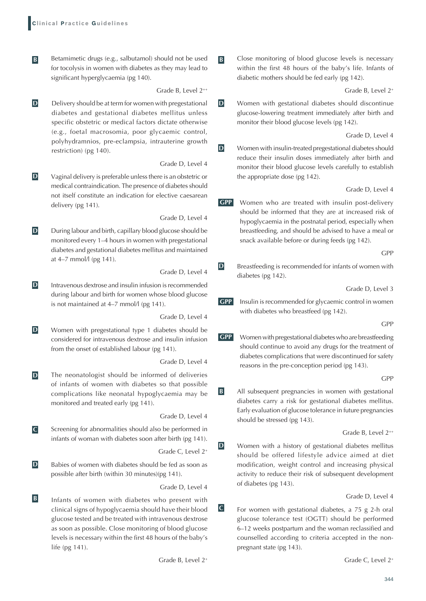**B** Betamimetic drugs (e.g., salbutamol) should not be used for tocolysis in women with diabetes as they may lead to significant hyperglycaemia (pg 140).

Grade B, Level 2++

**D** Delivery should be at term for women with pregestational diabetes and gestational diabetes mellitus unless specific obstetric or medical factors dictate otherwise (e.g., foetal macrosomia, poor glycaemic control, polyhydramnios, pre-eclampsia, intrauterine growth restriction) (pg 140).

Grade D, Level 4

**D**  $\blacksquare$   **Vaginal delivery is preferable unless there is an obstetric or** medical contraindication. The presence of diabetes should not itself constitute an indication for elective caesarean delivery (pg 141).

Grade D, Level 4

**D** During labour and birth, capillary blood glucose should be monitored every 1–4 hours in women with pregestational diabetes and gestational diabetes mellitus and maintained at 4–7 mmol/l (pg 141).

Grade D, Level 4

**D** Intravenous dextrose and insulin infusion is recommended during labour and birth for women whose blood glucose is not maintained at 4–7 mmol/l (pg 141).

Grade D, Level 4

**D** Women with pregestational type 1 diabetes should be considered for intravenous dextrose and insulin infusion from the onset of established labour (pg 141).

Grade D, Level 4

**D** The neonatologist should be informed of deliveries of infants of women with diabetes so that possible complications like neonatal hypoglycaemia may be monitored and treated early (pg 141).

Grade D, Level 4

**C** Screening for abnormalities should also be performed in infants of woman with diabetes soon after birth (pg 141).

Grade C, Level 2<sup>+</sup>

**D** Babies of women with diabetes should be fed as soon as possible after birth (within 30 minutes)(pg 141).

Grade D, Level 4

**B** Infants of women with diabetes who present with clinical signs of hypoglycaemia should have their blood glucose tested and be treated with intravenous dextrose as soon as possible. Close monitoring of blood glucose levels is necessary within the first 48 hours of the baby's life (pg 141).

Grade B, Level 2<sup>+</sup>

**B B Close monitoring of blood glucose levels is necessary** within the first 48 hours of the baby's life. Infants of diabetic mothers should be fed early (pg 142).

Grade B, Level 2<sup>+</sup>

**D** Women with gestational diabetes should discontinue glucose-lowering treatment immediately after birth and monitor their blood glucose levels (pg 142).

Grade D, Level 4

**D** Women with insulin-treated pregestational diabetes should reduce their insulin doses immediately after birth and monitor their blood glucose levels carefully to establish the appropriate dose (pg 142).

Grade D, Level 4

**GPP** Women who are treated with insulin post-delivery should be informed that they are at increased risk of hypoglycaemia in the postnatal period, especially when breastfeeding, and should be advised to have a meal or snack available before or during feeds (pg 142).

GPP

**D** Breastfeeding is recommended for infants of women with diabetes (pg 142).

Grade D, Level 3

**GPP** Insulin is recommended for glycaemic control in women with diabetes who breastfeed (pg 142).

GPP

**GPP** Women with pregestational diabetes who are breastfeeding should continue to avoid any drugs for the treatment of diabetes complications that were discontinued for safety reasons in the pre-conception period (pg 143).

GPP

**B** All subsequent pregnancies in women with gestational diabetes carry a risk for gestational diabetes mellitus. Early evaluation of glucose tolerance in future pregnancies should be stressed (pg 143).

Grade B, Level 2++

**D** Women with a history of gestational diabetes mellitus should be offered lifestyle advice aimed at diet modification, weight control and increasing physical activity to reduce their risk of subsequent development of diabetes (pg 143).

Grade D, Level 4

**C** For women with gestational diabetes, a 75 g 2-h oral glucose tolerance test (OGTT) should be performed 6–12 weeks postpartum and the woman reclassified and counselled according to criteria accepted in the nonpregnant state (pg 143).

Grade C, Level 2<sup>+</sup>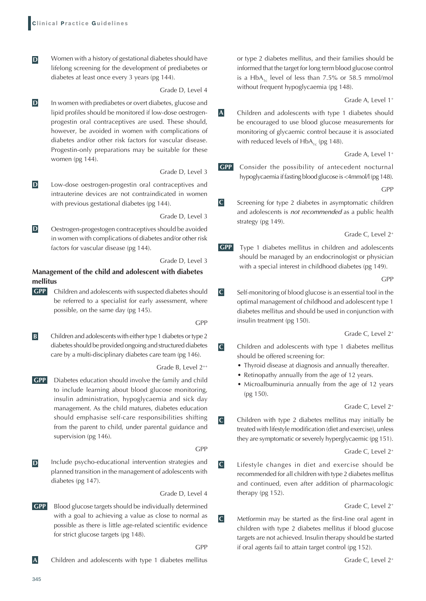**D** Women with a history of gestational diabetes should have lifelong screening for the development of prediabetes or diabetes at least once every 3 years (pg 144).

Grade D, Level 4

**D** In women with prediabetes or overt diabetes, glucose and lipid profiles should be monitored if low-dose oestrogenprogestin oral contraceptives are used. These should, however, be avoided in women with complications of diabetes and/or other risk factors for vascular disease. Progestin-only preparations may be suitable for these women (pg 144).

Grade D, Level 3

**D** Low-dose oestrogen-progestin oral contraceptives and intrauterine devices are not contraindicated in women with previous gestational diabetes (pg 144).

Grade D, Level 3

**D Oestrogen-progestogen contraceptives should be avoided** in women with complications of diabetes and/or other risk factors for vascular disease (pg 144).

Grade D, Level 3

## **Management of the child and adolescent with diabetes mellitus**

**GPP** Children and adolescents with suspected diabetes should be referred to a specialist for early assessment, where possible, on the same day (pg 145).

GPP

**B** Children and adolescents with either type 1 diabetes or type 2 diabetes should be provided ongoing and structured diabetes care by a multi-disciplinary diabetes care team (pg 146).

Grade B, Level 2++

**GPP** Diabetes education should involve the family and child to include learning about blood glucose monitoring, insulin administration, hypoglycaemia and sick day management. As the child matures, diabetes education should emphasise self-care responsibilities shifting from the parent to child, under parental guidance and supervision (pg 146).

GPP

**D** Include psycho-educational intervention strategies and planned transition in the management of adolescents with diabetes (pg 147).

Grade D, Level 4

**GPP** Blood glucose targets should be individually determined with a goal to achieving a value as close to normal as possible as there is little age-related scientific evidence for strict glucose targets (pg 148).

GPP

**A** Children and adolescents with type 1 diabetes mellitus

or type 2 diabetes mellitus, and their families should be informed that the target for long term blood glucose control is a HbA<sub>1c</sub> level of less than 7.5% or 58.5 mmol/mol without frequent hypoglycaemia (pg 148).

Grade A, Level 1<sup>+</sup>

**A** Children and adolescents with type 1 diabetes should be encouraged to use blood glucose measurements for monitoring of glycaemic control because it is associated with reduced levels of  $HbA_{1c}$  (pg 148).

Grade A, Level 1<sup>+</sup>

**GPP** Consider the possibility of antecedent nocturnal hypoglycaemia if fasting blood glucose is <4mmol/l (pg 148).

GPP

**C** Screening for type 2 diabetes in asymptomatic children and adolescents is *not recommended* as a public health strategy (pg 149).

Grade C, Level 2<sup>+</sup>

**GPP** Type 1 diabetes mellitus in children and adolescents should be managed by an endocrinologist or physician with a special interest in childhood diabetes (pg 149).

GPP

**C** Self-monitoring of blood glucose is an essential tool in the optimal management of childhood and adolescent type 1 diabetes mellitus and should be used in conjunction with insulin treatment (pg 150).

Grade C, Level 2<sup>+</sup>

- **C** Children and adolescents with type 1 diabetes mellitus should be offered screening for:
	- Thyroid disease at diagnosis and annually thereafter.
	- Retinopathy annually from the age of 12 years.
	- Microalbuminuria annually from the age of 12 years (pg 150).

Grade C, Level 2<sup>+</sup>

**C** Children with type 2 diabetes mellitus may initially be treated with lifestyle modification (diet and exercise), unless they are symptomatic or severely hyperglycaemic (pg 151).

Grade C, Level 2<sup>+</sup>

**C** Lifestyle changes in diet and exercise should be recommended for all children with type 2 diabetes mellitus and continued, even after addition of pharmacologic therapy (pg 152).

#### Grade C, Level 2<sup>+</sup>

**C** Metformin may be started as the first-line oral agent in children with type 2 diabetes mellitus if blood glucose targets are not achieved. Insulin therapy should be started if oral agents fail to attain target control (pg 152).

Grade C, Level 2<sup>+</sup>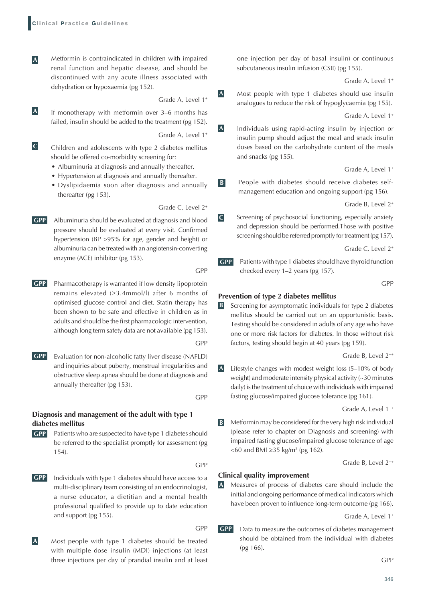**A** Metformin is contraindicated in children with impaired renal function and hepatic disease, and should be discontinued with any acute illness associated with dehydration or hypoxaemia (pg 152).

Grade A, Level 1<sup>+</sup>

**A** If monotherapy with metformin over 3–6 months has failed, insulin should be added to the treatment (pg 152).

Grade A, Level 1<sup>+</sup>

- **C** Children and adolescents with type 2 diabetes mellitus should be offered co-morbidity screening for:
	- Albuminuria at diagnosis and annually thereafter.
	- Hypertension at diagnosis and annually thereafter.
	- Dyslipidaemia soon after diagnosis and annually thereafter (pg 153).

Grade C, Level 2<sup>+</sup>

- **GPP** Albuminuria should be evaluated at diagnosis and blood pressure should be evaluated at every visit. Confirmed hypertension (BP >95% for age, gender and height) or albuminuria can be treated with an angiotensin-converting enzyme (ACE) inhibitor (pg 153).
- **GPP** Pharmacotherapy is warranted if low density lipoprotein remains elevated (≥3.4mmol/l) after 6 months of optimised glucose control and diet. Statin therapy has been shown to be safe and effective in children as in

adults and should be the first pharmacologic intervention, although long term safety data are not available (pg 153). GPP

**GPP** Evaluation for non-alcoholic fatty liver disease (NAFLD) and inquiries about puberty, menstrual irregularities and obstructive sleep apnea should be done at diagnosis and annually thereafter (pg 153).

GPP

GPP

GPP

## **Diagnosis and management of the adult with type 1 diabetes mellitus**

**GPP** Patients who are suspected to have type 1 diabetes should be referred to the specialist promptly for assessment (pg 154).

GPP

- **GPP** Individuals with type 1 diabetes should have access to a multi-disciplinary team consisting of an endocrinologist, a nurse educator, a dietitian and a mental health professional qualified to provide up to date education and support (pg 155).
- **A** Most people with type 1 diabetes should be treated with multiple dose insulin (MDI) injections (at least three injections per day of prandial insulin and at least

one injection per day of basal insulin) or continuous subcutaneous insulin infusion (CSII) (pg 155).

Grade A, Level 1<sup>+</sup>

**A** Most people with type 1 diabetes should use insulin analogues to reduce the risk of hypoglycaemia (pg 155).

Grade A, Level 1<sup>+</sup>

**A** Individuals using rapid-acting insulin by injection or insulin pump should adjust the meal and snack insulin doses based on the carbohydrate content of the meals and snacks (pg 155).

Grade A, Level 1<sup>+</sup>

**B People with diabetes should receive diabetes self**management education and ongoing support (pg 156).

Grade B, Level 2<sup>+</sup>

**C** Screening of psychosocial functioning, especially anxiety and depression should be performed.Those with positive screening should be referred promptly for treatment (pg 157).

Grade C, Level 2<sup>+</sup>

**GPP** Patients with type 1 diabetes should have thyroid function checked every 1–2 years (pg 157).

GPP

#### **Prevention of type 2 diabetes mellitus**

**B** Screening for asymptomatic individuals for type 2 diabetes mellitus should be carried out on an opportunistic basis. Testing should be considered in adults of any age who have one or more risk factors for diabetes. In those without risk factors, testing should begin at 40 years (pg 159).

Grade B, Level 2<sup>++</sup>

**A** Lifestyle changes with modest weight loss (5–10% of body weight) and moderate intensity physical activity (~30 minutes daily) is the treatment of choice with individuals with impaired fasting glucose/impaired glucose tolerance (pg 161).

Grade A, Level 1<sup>++</sup>

**B** Metformin may be considered for the very high risk individual (please refer to chapter on Diagnosis and screening) with impaired fasting glucose/impaired glucose tolerance of age <60 and BMI ≥35 kg/m<sup>2</sup> (pg 162).

Grade B, Level 2++

## **Clinical quality improvement**

**A** Measures of process of diabetes care should include the initial and ongoing performance of medical indicators which have been proven to influence long-term outcome (pg 166).

Grade A, Level 1<sup>+</sup>

**GPP** Data to measure the outcomes of diabetes management should be obtained from the individual with diabetes (pg 166).

GPP